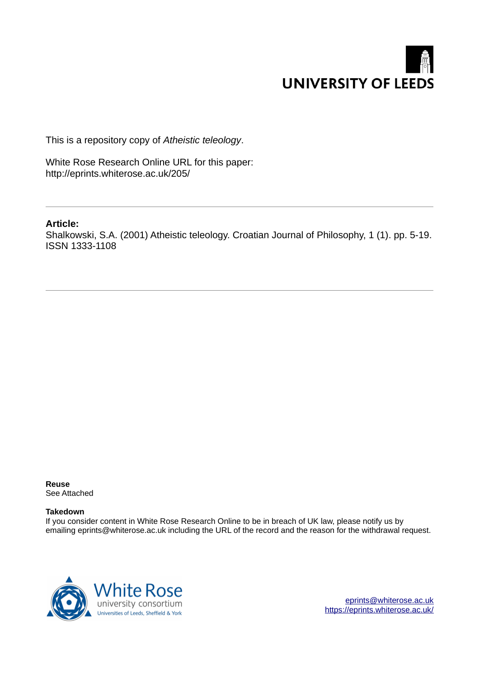

This is a repository copy of *Atheistic teleology*.

White Rose Research Online URL for this paper: http://eprints.whiterose.ac.uk/205/

# **Article:**

Shalkowski, S.A. (2001) Atheistic teleology. Croatian Journal of Philosophy, 1 (1). pp. 5-19. ISSN 1333-1108

**Reuse**  See Attached

### **Takedown**

If you consider content in White Rose Research Online to be in breach of UK law, please notify us by emailing eprints@whiterose.ac.uk including the URL of the record and the reason for the withdrawal request.



[eprints@whiterose.ac.uk](mailto:eprints@whiterose.ac.uk) <https://eprints.whiterose.ac.uk/>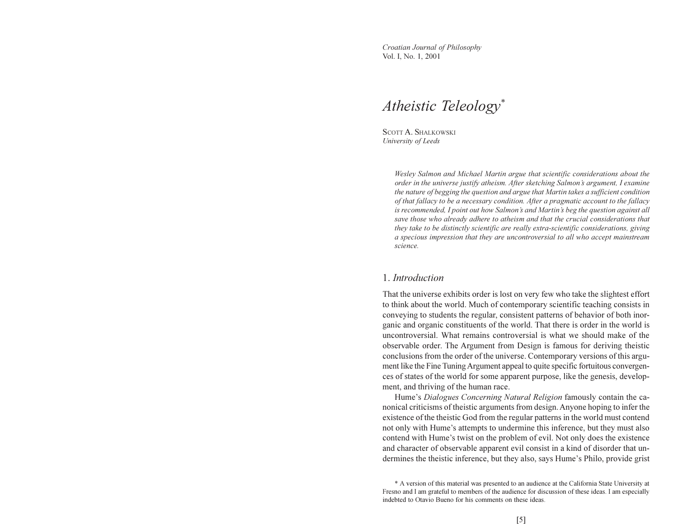Croatian Journal of Philosophy Vol. I, No. 1, 2001

# Atheistic Teleology\*

SCOTT A. SHALKOWSKI University of Leeds

> Wesley Salmon and Michael Martin argue that scientific considerations about the order in the universe justify atheism. After sketching Salmon's argument, I examine the nature of begging the question and argue that Martin takes a sufficient condition of that fallacy to be a necessary condition. After a pragmatic account to the fallacy is recommended, I point out how Salmon's and Martin's beg the question against all save those who already adhere to atheism and that the crucial considerations that they take to be distinctly scientific are really extra-scientific considerations, giving a specious impression that they are uncontroversial to all who accept mainstream science.

### 1. Introduction

That the universe exhibits order is lost on very few who take the slightest effort to think about the world. Much of contemporary scientific teaching consists in conveying to students the regular, consistent patterns of behavior of both inorganic and organic constituents of the world. That there is order in the world is uncontroversial. What remains controversial is what we should make of the observable order. The Argument from Design is famous for deriving theistic conclusions from the order of the universe. Contemporary versions of this argument like the Fine Tuning Argument appeal to quite specific fortuitous convergences of states of the world for some apparent purpose, like the genesis, development, and thriving of the human race.

Hume's Dialogues Concerning Natural Religion famously contain the canonical criticisms of theistic arguments from design. Anyone hoping to infer the existence of the theistic God from the regular patterns in the world must contend not only with Hume's attempts to undermine this inference, but they must also contend with Hume's twist on the problem of evil. Not only does the existence and character of observable apparent evil consist in a kind of disorder that undermines the theistic inference, but they also, says Hume's Philo, provide grist

<sup>\*</sup> A version of this material was presented to an audience at the California State University at Fresno and I am grateful to members of the audience for discussion of these ideas. I am especially indebted to Otavio Bueno for his comments on these ideas.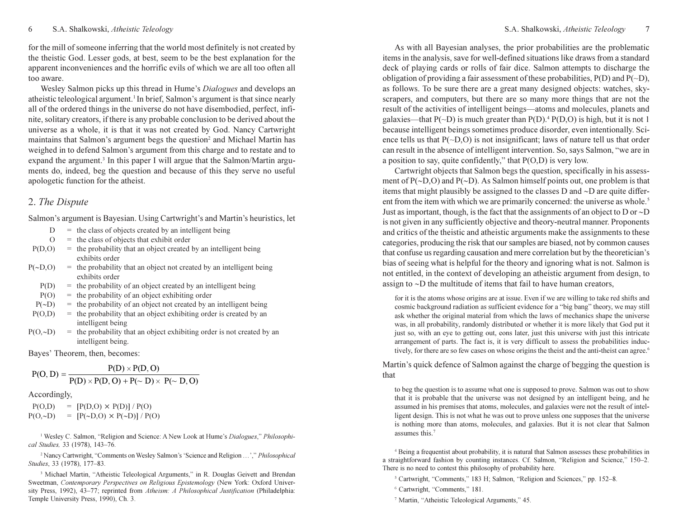for the mill of someone inferring that the world most definitely is not created by the theistic God. Lesser gods, at best, seem to be the best explanation for the apparent inconveniences and the horrific evils of which we are all too often all too aware.

Wesley Salmon picks up this thread in Hume's Dialogues and develops an atheistic teleological argument.<sup>1</sup> In brief, Salmon's argument is that since nearly all of the ordered things in the universe do not have disembodied, perfect, infinite, solitary creators, if there is any probable conclusion to be derived about the universe as a whole, it is that it was not created by God. Nancy Cartwright maintains that Salmon's argument begs the question<sup>2</sup> and Michael Martin has weighed in to defend Salmon's argument from this charge and to restate and to expand the argument.<sup>3</sup> In this paper I will argue that the Salmon/Martin arguments do, indeed, beg the question and because of this they serve no useful apologetic function for the atheist.

## 2. The Dispute

Salmon's argument is Bayesian. Using Cartwright's and Martin's heuristics, let

- $D =$  the class of objects created by an intelligent being
- $O =$  the class of objects that exhibit order
- $P(D, O)$  = the probability that an object created by an intelligent being exhibits order
- $P(\sim D, O)$  = the probability that an object not created by an intelligent being exhibits order
	- $P(D)$  = the probability of an object created by an intelligent being
- $P(O)$  = the probability of an object exhibiting order
- $P(\sim D)$  = the probability of an object not created by an intelligent being
- $P(O,D)$  = the probability that an object exhibiting order is created by an intelligent being
- $P(O, ∼D)$  = the probability that an object exhibiting order is not created by an intelligent being.

Bayes' Theorem, then, becomes:

$$
P(O, D) = \frac{P(D) \times P(D, O)}{P(D) \times P(D, O) + P(\sim D) \times P(\sim D, O)}
$$

### Accordingly,

 $P(O,D) = [P(D,O) \times P(D)] / P(O)$  $P(O,~D)$  =  $[P(~D, O) \times P(~D)] / P(O)$ 

<sup>1</sup> Wesley C. Salmon, "Religion and Science: A New Look at Hume's Dialogues," Philosophical Studies, 33 (1978), 143–76.

<sup>2</sup> Nancy Cartwright, "Comments on Wesley Salmon's 'Science and Religion ...'," Philosophical Studies, 33 (1978), 177–83.

<sup>3</sup> Michael Martin, "Atheistic Teleological Arguments," in R. Douglas Geivett and Brendan Sweetman, Contemporary Perspectives on Religious Epistemology (New York: Oxford University Press, 1992), 43-77; reprinted from Atheism: A Philosophical Justification (Philadelphia: Temple University Press, 1990), Ch. 3.

As with all Bayesian analyses, the prior probabilities are the problematic items in the analysis, save for well-defined situations like draws from a standard deck of playing cards or rolls of fair dice. Salmon attempts to discharge the obligation of providing a fair assessment of these probabilities,  $P(D)$  and  $P(\sim D)$ , as follows. To be sure there are a great many designed objects: watches, skyscrapers, and computers, but there are so many more things that are not the result of the activities of intelligent beings—atoms and molecules, planets and galaxies—that  $P(\sim D)$  is much greater than  $P(D)$ .<sup>4</sup>  $P(D, O)$  is high, but it is not 1 because intelligent beings sometimes produce disorder, even intentionally. Science tells us that  $P(\sim D, O)$  is not insignificant; laws of nature tell us that order can result in the absence of intelligent intervention. So, says Salmon, "we are in a position to say, quite confidently," that P(O,D) is very low.

Cartwright objects that Salmon begs the question, specifically in his assessment of P(∼D,O) and P(∼D). As Salmon himself points out, one problem is that items that might plausibly be assigned to the classes D and ∼D are quite different from the item with which we are primarily concerned: the universe as whole.<sup>5</sup> Just as important, though, is the fact that the assignments of an object to D or ∼D is not given in any sufficiently objective and theory-neutral manner. Proponents and critics of the theistic and atheistic arguments make the assignments to these categories, producing the risk that our samples are biased, not by common causes that confuse us regarding causation and mere correlation but by the theoretician's bias of seeing what is helpful for the theory and ignoring what is not. Salmon is not entitled, in the context of developing an atheistic argument from design, to assign to ∼D the multitude of items that fail to have human creators,

for it is the atoms whose origins are at issue. Even if we are willing to take red shifts and cosmic background radiation as sufficient evidence for a "big bang" theory, we may still ask whether the original material from which the laws of mechanics shape the universe was, in all probability, randomly distributed or whether it is more likely that God put it just so, with an eye to getting out, eons later, just this universe with just this intricate arrangement of parts. The fact is, it is very difficult to assess the probabilities inductively, for there are so few cases on whose origins the theist and the anti-theist can agree.<sup>6</sup>

### Martin's quick defence of Salmon against the charge of begging the question is that

to beg the question is to assume what one is supposed to prove. Salmon was out to show that it is probable that the universe was not designed by an intelligent being, and he assumed in his premises that atoms, molecules, and galaxies were not the result of intelligent design. This is not what he was out to prove unless one supposes that the universe is nothing more than atoms, molecules, and galaxies. But it is not clear that Salmon assumes this.<sup>7</sup>

4 Being a frequentist about probability, it is natural that Salmon assesses these probabilities in a straightforward fashion by counting instances. Cf. Salmon, "Religion and Science," 150–2. There is no need to contest this philosophy of probability here.

- 5 Cartwright, "Comments," 183 H; Salmon, "Religion and Sciences," pp. 152–8.
- 6 Cartwright, "Comments," 181.
- 7 Martin, "Atheistic Teleological Arguments," 45.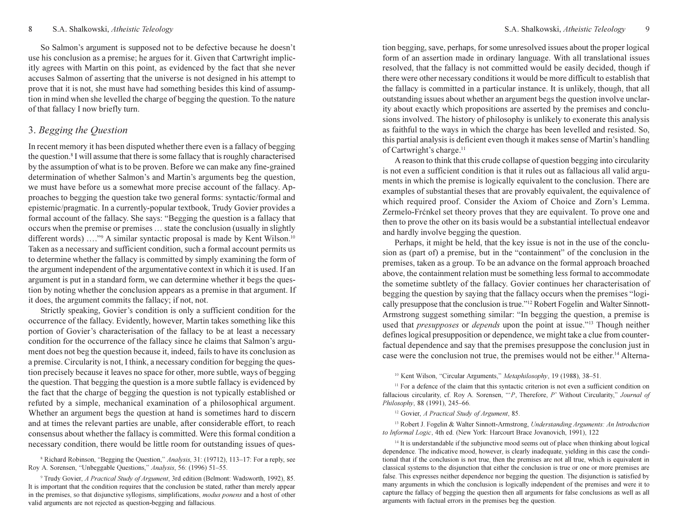So Salmon's argument is supposed not to be defective because he doesn't use his conclusion as a premise; he argues for it. Given that Cartwright implicitly agrees with Martin on this point, as evidenced by the fact that she never accuses Salmon of asserting that the universe is not designed in his attempt to prove that it is not, she must have had something besides this kind of assumption in mind when she levelled the charge of begging the question. To the nature of that fallacy I now briefly turn.

# 3. Begging the Question

In recent memory it has been disputed whether there even is a fallacy of begging the question.<sup>8</sup> I will assume that there is some fallacy that is roughly characterised by the assumption of what is to be proven. Before we can make any fine-grained determination of whether Salmon's and Martin's arguments beg the question, we must have before us a somewhat more precise account of the fallacy. Approaches to begging the question take two general forms: syntactic/formal and epistemic/pragmatic. In a currently-popular textbook, Trudy Govier provides a formal account of the fallacy. She says: "Begging the question is a fallacy that occurs when the premise or premises … state the conclusion (usually in slightly different words) ...."<sup>9</sup> A similar syntactic proposal is made by Kent Wilson.<sup>10</sup> Taken as a necessary and sufficient condition, such a formal account permits us to determine whether the fallacy is committed by simply examining the form of the argument independent of the argumentative context in which it is used. If an argument is put in a standard form, we can determine whether it begs the question by noting whether the conclusion appears as a premise in that argument. If it does, the argument commits the fallacy; if not, not.

Strictly speaking, Govier's condition is only a sufficient condition for the occurrence of the fallacy. Evidently, however, Martin takes something like this portion of Govier's characterisation of the fallacy to be at least a necessary condition for the occurrence of the fallacy since he claims that Salmon's argument does not beg the question because it, indeed, fails to have its conclusion as a premise. Circularity is not, I think, a necessary condition for begging the question precisely because it leaves no space for other, more subtle, ways of begging the question. That begging the question is a more subtle fallacy is evidenced by the fact that the charge of begging the question is not typically established or refuted by a simple, mechanical examination of a philosophical argument. Whether an argument begs the question at hand is sometimes hard to discern and at times the relevant parties are unable, after considerable effort, to reach consensus about whether the fallacy is committed. Were this formal condition a necessary condition, there would be little room for outstanding issues of ques-

<sup>8</sup> Richard Robinson, "Begging the Question," Analysis, 31: (19712), 113-17: For a reply, see Roy A. Sorensen, "Unbeggable Questions," Analysis, 56: (1996) 51–55.

<sup>9</sup> Trudy Govier, A Practical Study of Argument, 3rd edition (Belmont: Wadsworth, 1992), 85. It is important that the condition requires that the conclusion be stated, rather than merely appear in the premises, so that disjunctive syllogisms, simplifications, *modus ponens* and a host of other valid arguments are not rejected as question-begging and fallacious.

tion begging, save, perhaps, for some unresolved issues about the proper logical form of an assertion made in ordinary language. With all translational issues resolved, that the fallacy is not committed would be easily decided, though if there were other necessary conditions it would be more difficult to establish that the fallacy is committed in a particular instance. It is unlikely, though, that all outstanding issues about whether an argument begs the question involve unclarity about exactly which propositions are asserted by the premises and conclusions involved. The history of philosophy is unlikely to exonerate this analysis as faithful to the ways in which the charge has been levelled and resisted. So, this partial analysis is deficient even though it makes sense of Martin's handling of Cartwright's charge.<sup>11</sup>

A reason to think that this crude collapse of question begging into circularity is not even a sufficient condition is that it rules out as fallacious all valid arguments in which the premise is logically equivalent to the conclusion. There are examples of substantial theses that are provably equivalent, the equivalence of which required proof. Consider the Axiom of Choice and Zorn's Lemma. Zermelo-Fr $\zeta$ nkel set theory proves that they are equivalent. To prove one and then to prove the other on its basis would be a substantial intellectual endeavor and hardly involve begging the question.

Perhaps, it might be held, that the key issue is not in the use of the conclusion as (part of) a premise, but in the "containment" of the conclusion in the premises, taken as a group. To be an advance on the formal approach broached above, the containment relation must be something less formal to accommodate the sometime subtlety of the fallacy. Govier continues her characterisation of begging the question by saying that the fallacy occurs when the premises "logically presuppose that the conclusion is true."<sup>12</sup> Robert Fogelin and Walter Sinnott-Armstrong suggest something similar: "In begging the question, a premise is used that *presupposes* or *depends* upon the point at issue."<sup>13</sup> Though neither defines logical presupposition or dependence, we might take a clue from counterfactual dependence and say that the premises presuppose the conclusion just in case were the conclusion not true, the premises would not be either.<sup>14</sup> Alterna-

<sup>10</sup> Kent Wilson, "Circular Arguments," Metaphilosophy, 19 (1988), 38–51.

<sup>11</sup> For a defence of the claim that this syntactic criterion is not even a sufficient condition on fallacious circularity, cf. Roy A. Sorensen, " $P$ , Therefore, P' Without Circularity," Journal of Philosophy, 88 (1991), 245–66.

<sup>12</sup> Govier, A Practical Study of Argument, 85.

<sup>13</sup> Robert J. Fogelin & Walter Sinnott-Armstrong, Understanding Arguments: An Introduction to Informal Logic, 4th ed. (New York: Harcourt Brace Jovanovich, 1991), 122

 $14$  It is understandable if the subjunctive mood seems out of place when thinking about logical dependence. The indicative mood, however, is clearly inadequate, yielding in this case the conditional that if the conclusion is not true, then the premises are not all true, which is equivalent in classical systems to the disjunction that either the conclusion is true or one or more premises are false. This expresses neither dependence nor begging the question. The disjunction is satisfied by many arguments in which the conclusion is logically independent of the premises and were it to capture the fallacy of begging the question then all arguments for false conclusions as well as all arguments with factual errors in the premises beg the question.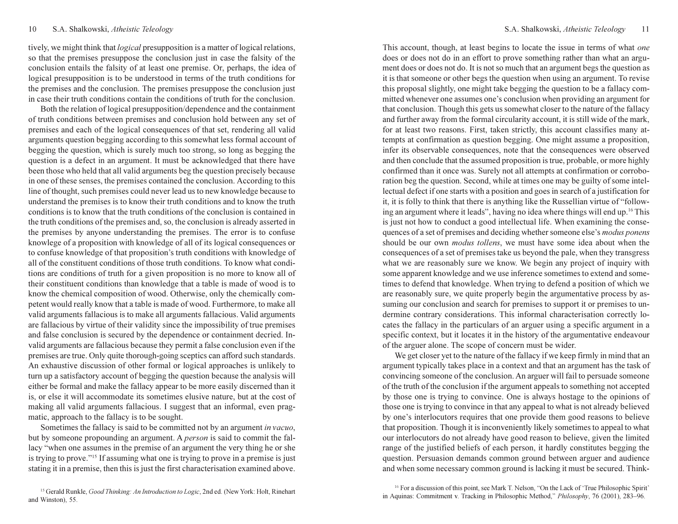tively, we might think that logical presupposition is a matter of logical relations, so that the premises presuppose the conclusion just in case the falsity of the conclusion entails the falsity of at least one premise. Or, perhaps, the idea of logical presupposition is to be understood in terms of the truth conditions for the premises and the conclusion. The premises presuppose the conclusion just in case their truth conditions contain the conditions of truth for the conclusion.

Both the relation of logical presupposition/dependence and the containment of truth conditions between premises and conclusion hold between any set of premises and each of the logical consequences of that set, rendering all valid arguments question begging according to this somewhat less formal account of begging the question, which is surely much too strong, so long as begging the question is a defect in an argument. It must be acknowledged that there have been those who held that all valid arguments beg the question precisely because in one of these senses, the premises contained the conclusion. According to this line of thought, such premises could never lead us to new knowledge because to understand the premises is to know their truth conditions and to know the truth conditions is to know that the truth conditions of the conclusion is contained in the truth conditions of the premises and, so, the conclusion is already asserted in the premises by anyone understanding the premises. The error is to confuse knowlege of a proposition with knowledge of all of its logical consequences or to confuse knowledge of that proposition's truth conditions with knowledge of all of the constituent conditions of those truth conditions. To know what conditions are conditions of truth for a given proposition is no more to know all of their constituent conditions than knowledge that a table is made of wood is to know the chemical composition of wood. Otherwise, only the chemically competent would really know that a table is made of wood. Furthermore, to make all valid arguments fallacious is to make all arguments fallacious. Valid arguments are fallacious by virtue of their validity since the impossibility of true premises and false conclusion is secured by the dependence or containment decried. Invalid arguments are fallacious because they permit a false conclusion even if the premises are true. Only quite thorough-going sceptics can afford such standards. An exhaustive discussion of other formal or logical approaches is unlikely to turn up a satisfactory account of begging the question because the analysis will either be formal and make the fallacy appear to be more easily discerned than it is, or else it will accommodate its sometimes elusive nature, but at the cost of making all valid arguments fallacious. I suggest that an informal, even pragmatic, approach to the fallacy is to be sought.

Sometimes the fallacy is said to be committed not by an argument in vacuo, but by someone propounding an argument. A person is said to commit the fallacy "when one assumes in the premise of an argument the very thing he or she is trying to prove."<sup>15</sup> If assuming what one is trying to prove in a premise is just stating it in a premise, then this is just the first characterisation examined above.

<sup>15</sup> Gerald Runkle, Good Thinking: An Introduction to Logic, 2nd ed. (New York: Holt, Rinehart and Winston), 55.

This account, though, at least begins to locate the issue in terms of what *one* does or does not do in an effort to prove something rather than what an argument does or does not do. It is not so much that an argument begs the question as it is that someone or other begs the question when using an argument. To revise this proposal slightly, one might take begging the question to be a fallacy committed whenever one assumes one's conclusion when providing an argument for that conclusion. Though this gets us somewhat closer to the nature of the fallacy and further away from the formal circularity account, it is still wide of the mark, for at least two reasons. First, taken strictly, this account classifies many attempts at confirmation as question begging. One might assume a proposition, infer its observable consequences, note that the consequences were observed and then conclude that the assumed proposition is true, probable, or more highly confirmed than it once was. Surely not all attempts at confirmation or corroboration beg the question. Second, while at times one may be guilty of some intellectual defect if one starts with a position and goes in search of a justification for it, it is folly to think that there is anything like the Russellian virtue of "following an argument where it leads", having no idea where things will end up.<sup>16</sup> This is just not how to conduct a good intellectual life. When examining the consequences of a set of premises and deciding whether someone else's modus ponens should be our own modus tollens, we must have some idea about when the consequences of a set of premises take us beyond the pale, when they transgress what we are reasonably sure we know. We begin any project of inquiry with some apparent knowledge and we use inference sometimes to extend and sometimes to defend that knowledge. When trying to defend a position of which we are reasonably sure, we quite properly begin the argumentative process by assuming our conclusion and search for premises to support it or premises to undermine contrary considerations. This informal characterisation correctly locates the fallacy in the particulars of an arguer using a specific argument in a specific context, but it locates it in the history of the argumentative endeavour of the arguer alone. The scope of concern must be wider.

We get closer yet to the nature of the fallacy if we keep firmly in mind that an argument typically takes place in a context and that an argument has the task of convincing someone of the conclusion. An arguer will fail to persuade someone of the truth of the conclusion if the argument appeals to something not accepted by those one is trying to convince. One is always hostage to the opinions of those one is trying to convince in that any appeal to what is not already believed by one's interlocutors requires that one provide them good reasons to believe that proposition. Though it is inconveniently likely sometimes to appeal to what our interlocutors do not already have good reason to believe, given the limited range of the justified beliefs of each person, it hardly constitutes begging the question. Persuasion demands common ground between arguer and audience and when some necessary common ground is lacking it must be secured. Think-

<sup>16</sup> For a discussion of this point, see Mark T. Nelson, "On the Lack of 'True Philosophic Spirit' in Aquinas: Commitment v. Tracking in Philosophic Method," Philosophy, 76 (2001), 283–96.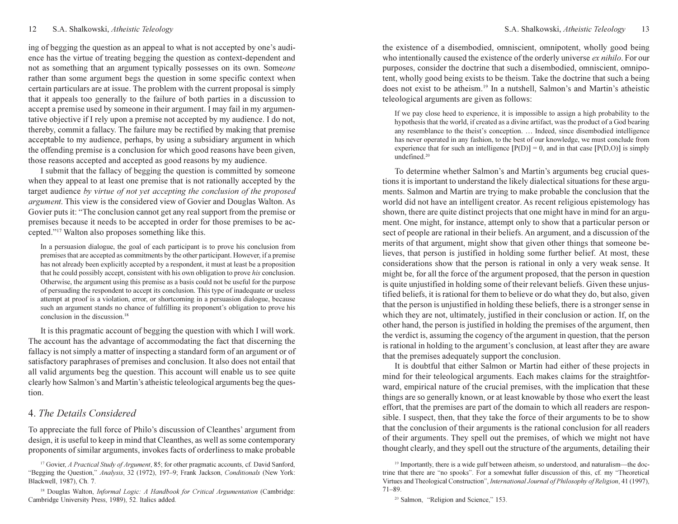### 12 S.A. Shalkowski, Atheistic Teleology 13<br>12 S.A. Shalkowski, Atheistic Teleology 13

ing of begging the question as an appeal to what is not accepted by one's audience has the virtue of treating begging the question as context-dependent and not as something that an argument typically possesses on its own. Someone rather than some argument begs the question in some specific context when certain particulars are at issue. The problem with the current proposal is simply that it appeals too generally to the failure of both parties in a discussion to accept a premise used by someone in their argument. I may fail in my argumentative objective if I rely upon a premise not accepted by my audience. I do not, thereby, commit a fallacy. The failure may be rectified by making that premise acceptable to my audience, perhaps, by using a subsidiary argument in which the offending premise is a conclusion for which good reasons have been given, those reasons accepted and accepted as good reasons by my audience.

I submit that the fallacy of begging the question is committed by someone when they appeal to at least one premise that is not rationally accepted by the target audience by virtue of not yet accepting the conclusion of the proposed argument. This view is the considered view of Govier and Douglas Walton. As Govier puts it: "The conclusion cannot get any real support from the premise or premises because it needs to be accepted in order for those premises to be accepted."<sup>17</sup> Walton also proposes something like this.

In a persuasion dialogue, the goal of each participant is to prove his conclusion from premises that are accepted as commitments by the other participant. However, if a premise has not already been explicitly accepted by a respondent, it must at least be a proposition that he could possibly accept, consistent with his own obligation to prove his conclusion. Otherwise, the argument using this premise as a basis could not be useful for the purpose of persuading the respondent to accept its conclusion. This type of inadequate or useless attempt at proof is a violation, error, or shortcoming in a persuasion dialogue, because such an argument stands no chance of fulfilling its proponent's obligation to prove his conclusion in the discussion.<sup>18</sup>

It is this pragmatic account of begging the question with which I will work. The account has the advantage of accommodating the fact that discerning the fallacy is not simply a matter of inspecting a standard form of an argument or of satisfactory paraphrases of premises and conclusion. It also does not entail that all valid arguments beg the question. This account will enable us to see quite clearly how Salmon's and Martin's atheistic teleological arguments beg the question.

# 4. The Details Considered

To appreciate the full force of Philo's discussion of Cleanthes' argument from design, it is useful to keep in mind that Cleanthes, as well as some contemporary proponents of similar arguments, invokes facts of orderliness to make probable

the existence of a disembodied, omniscient, omnipotent, wholly good being who intentionally caused the existence of the orderly universe *ex nihilo*. For our purposes, consider the doctrine that such a disembodied, omniscient, omnipotent, wholly good being exists to be theism. Take the doctrine that such a being does not exist to be atheism.<sup>19</sup> In a nutshell, Salmon's and Martin's atheistic teleological arguments are given as follows:

If we pay close heed to experience, it is impossible to assign a high probability to the hypothesis that the world, if created as a divine artifact, was the product of a God bearing any resemblance to the theist's conception. … Indeed, since disembodied intelligence has never operated in any fashion, to the best of our knowledge, we must conclude from experience that for such an intelligence  $[P(D)] = 0$ , and in that case  $[P(D, O)]$  is simply undefined.<sup>20</sup>

To determine whether Salmon's and Martin's arguments beg crucial questions it is important to understand the likely dialectical situations for these arguments. Salmon and Martin are trying to make probable the conclusion that the world did not have an intelligent creator. As recent religious epistemology has shown, there are quite distinct projects that one might have in mind for an argument. One might, for instance, attempt only to show that a particular person or sect of people are rational in their beliefs. An argument, and a discussion of the merits of that argument, might show that given other things that someone believes, that person is justified in holding some further belief. At most, these considerations show that the person is rational in only a very weak sense. It might be, for all the force of the argument proposed, that the person in question is quite unjustified in holding some of their relevant beliefs. Given these unjustified beliefs, it is rational for them to believe or do what they do, but also, given that the person is unjustified in holding these beliefs, there is a stronger sense in which they are not, ultimately, justified in their conclusion or action. If, on the other hand, the person is justified in holding the premises of the argument, then the verdict is, assuming the cogency of the argument in question, that the person is rational in holding to the argument's conclusion, at least after they are aware that the premises adequately support the conclusion.

It is doubtful that either Salmon or Martin had either of these projects in mind for their teleological arguments. Each makes claims for the straightforward, empirical nature of the crucial premises, with the implication that these things are so generally known, or at least knowable by those who exert the least effort, that the premises are part of the domain to which all readers are responsible. I suspect, then, that they take the force of their arguments to be to show that the conclusion of their arguments is the rational conclusion for all readers of their arguments. They spell out the premises, of which we might not have thought clearly, and they spell out the structure of the arguments, detailing their

<sup>20</sup> Salmon, "Religion and Science," 153.

<sup>&</sup>lt;sup>17</sup> Govier, *A Practical Study of Argument*, 85; for other pragmatic accounts, cf. David Sanford, "Begging the Question," Analysis, 32 (1972), 197–9; Frank Jackson, Conditionals (New York: Blackwell, 1987), Ch. 7.

<sup>&</sup>lt;sup>18</sup> Douglas Walton, *Informal Logic: A Handbook for Critical Argumentation* (Cambridge: Cambridge University Press, 1989), 52. Italics added.

<sup>&</sup>lt;sup>19</sup> Importantly, there is a wide gulf between atheism, so understood, and naturalism—the doctrine that there are "no spooks". For a somewhat fuller discussion of this, cf. my "Theoretical Virtues and Theological Construction", International Journal of Philosophy of Religion, 41 (1997), 71–89.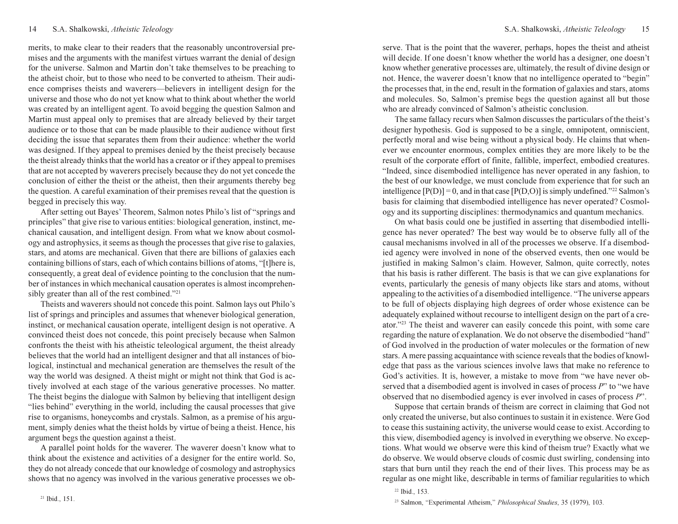merits, to make clear to their readers that the reasonably uncontroversial premises and the arguments with the manifest virtues warrant the denial of design for the universe. Salmon and Martin don't take themselves to be preaching to the atheist choir, but to those who need to be converted to atheism. Their audience comprises theists and waverers—believers in intelligent design for the universe and those who do not yet know what to think about whether the world was created by an intelligent agent. To avoid begging the question Salmon and Martin must appeal only to premises that are already believed by their target audience or to those that can be made plausible to their audience without first deciding the issue that separates them from their audience: whether the world was designed. If they appeal to premises denied by the theist precisely because the theist already thinks that the world has a creator or if they appeal to premises that are not accepted by waverers precisely because they do not yet concede the conclusion of either the theist or the atheist, then their arguments thereby beg the question. A careful examination of their premises reveal that the question is begged in precisely this way.

After setting out Bayes' Theorem, Salmon notes Philo's list of "springs and principles" that give rise to various entities: biological generation, instinct, mechanical causation, and intelligent design. From what we know about cosmology and astrophysics, it seems as though the processes that give rise to galaxies, stars, and atoms are mechanical. Given that there are billions of galaxies each containing billions of stars, each of which contains billions of atoms, "[t]here is, consequently, a great deal of evidence pointing to the conclusion that the number of instances in which mechanical causation operates is almost incomprehensibly greater than all of the rest combined."<sup>21</sup>

Theists and waverers should not concede this point. Salmon lays out Philo's list of springs and principles and assumes that whenever biological generation, instinct, or mechanical causation operate, intelligent design is not operative. A convinced theist does not concede, this point precisely because when Salmon confronts the theist with his atheistic teleological argument, the theist already believes that the world had an intelligent designer and that all instances of biological, instinctual and mechanical generation are themselves the result of the way the world was designed. A theist might or might not think that God is actively involved at each stage of the various generative processes. No matter. The theist begins the dialogue with Salmon by believing that intelligent design "lies behind" everything in the world, including the causal processes that give rise to organisms, honeycombs and crystals. Salmon, as a premise of his argument, simply denies what the theist holds by virtue of being a theist. Hence, his argument begs the question against a theist.

A parallel point holds for the waverer. The waverer doesn't know what to think about the existence and activities of a designer for the entire world. So, they do not already concede that our knowledge of cosmology and astrophysics shows that no agency was involved in the various generative processes we observe. That is the point that the waverer, perhaps, hopes the theist and atheist will decide. If one doesn't know whether the world has a designer, one doesn't know whether generative processes are, ultimately, the result of divine design or not. Hence, the waverer doesn't know that no intelligence operated to "begin" the processes that, in the end, result in the formation of galaxies and stars, atoms and molecules. So, Salmon's premise begs the question against all but those who are already convinced of Salmon's atheistic conclusion.

The same fallacy recurs when Salmon discusses the particulars of the theist's designer hypothesis. God is supposed to be a single, omnipotent, omniscient, perfectly moral and wise being without a physical body. He claims that whenever we encounter enormous, complex entities they are more likely to be the result of the corporate effort of finite, fallible, imperfect, embodied creatures. "Indeed, since disembodied intelligence has never operated in any fashion, to the best of our knowledge, we must conclude from experience that for such an intelligence  $[P(D)] = 0$ , and in that case  $[P(D, O)]$  is simply undefined."<sup>22</sup> Salmon's basis for claiming that disembodied intelligence has never operated? Cosmology and its supporting disciplines: thermodynamics and quantum mechanics.

On what basis could one be justified in asserting that disembodied intelligence has never operated? The best way would be to observe fully all of the causal mechanisms involved in all of the processes we observe. If a disembodied agency were involved in none of the observed events, then one would be justified in making Salmon's claim. However, Salmon, quite correctly, notes that his basis is rather different. The basis is that we can give explanations for events, particularly the genesis of many objects like stars and atoms, without appealing to the activities of a disembodied intelligence. "The universe appears to be full of objects displaying high degrees of order whose existence can be adequately explained without recourse to intelligent design on the part of a creator."<sup>23</sup> The theist and waverer can easily concede this point, with some care regarding the nature of explanation. We do not observe the disembodied "hand" of God involved in the production of water molecules or the formation of new stars. A mere passing acquaintance with science reveals that the bodies of knowledge that pass as the various sciences involve laws that make no reference to God's activities. It is, however, a mistake to move from "we have never observed that a disembodied agent is involved in cases of process P" to "we have observed that no disembodied agency is ever involved in cases of process P".

Suppose that certain brands of theism are correct in claiming that God not only created the universe, but also continues to sustain it in existence. Were God to cease this sustaining activity, the universe would cease to exist. According to this view, disembodied agency is involved in everything we observe. No exceptions. What would we observe were this kind of theism true? Exactly what we do observe. We would observe clouds of cosmic dust swirling, condensing into stars that burn until they reach the end of their lives. This process may be as regular as one might like, describable in terms of familiar regularities to which

<sup>22</sup> Ibid., 153.

<sup>&</sup>lt;sup>23</sup> Salmon, "Experimental Atheism," Philosophical Studies, 35 (1979), 103.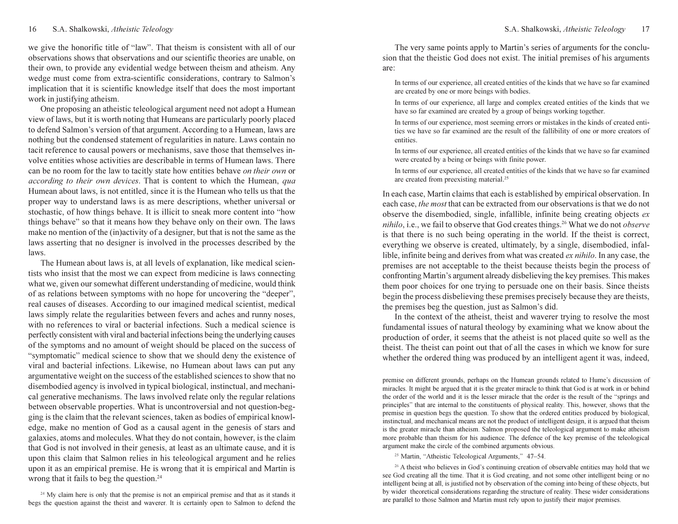we give the honorific title of "law". That theism is consistent with all of our observations shows that observations and our scientific theories are unable, on their own, to provide any evidential wedge between theism and atheism. Any wedge must come from extra-scientific considerations, contrary to Salmon's implication that it is scientific knowledge itself that does the most important work in justifying atheism.

One proposing an atheistic teleological argument need not adopt a Humean view of laws, but it is worth noting that Humeans are particularly poorly placed to defend Salmon's version of that argument. According to a Humean, laws are nothing but the condensed statement of regularities in nature. Laws contain no tacit reference to causal powers or mechanisms, save those that themselves involve entities whose activities are describable in terms of Humean laws. There can be no room for the law to tacitly state how entities behave on their own or according to their own devices. That is content to which the Humean, qua Humean about laws, is not entitled, since it is the Humean who tells us that the proper way to understand laws is as mere descriptions, whether universal or stochastic, of how things behave. It is illicit to sneak more content into "how things behave" so that it means how they behave only on their own. The laws make no mention of the (in)activity of a designer, but that is not the same as the laws asserting that no designer is involved in the processes described by the laws.

The Humean about laws is, at all levels of explanation, like medical scientists who insist that the most we can expect from medicine is laws connecting what we, given our somewhat different understanding of medicine, would think of as relations between symptoms with no hope for uncovering the "deeper", real causes of diseases. According to our imagined medical scientist, medical laws simply relate the regularities between fevers and aches and runny noses, with no references to viral or bacterial infections. Such a medical science is perfectly consistent with viral and bacterial infections being the underlying causes of the symptoms and no amount of weight should be placed on the success of "symptomatic" medical science to show that we should deny the existence of viral and bacterial infections. Likewise, no Humean about laws can put any argumentative weight on the success of the established sciences to show that no disembodied agency is involved in typical biological, instinctual, and mechanical generative mechanisms. The laws involved relate only the regular relations between observable properties. What is uncontroversial and not question-begging is the claim that the relevant sciences, taken as bodies of empirical knowledge, make no mention of God as a causal agent in the genesis of stars and galaxies, atoms and molecules. What they do not contain, however, is the claim that God is not involved in their genesis, at least as an ultimate cause, and it is upon this claim that Salmon relies in his teleological argument and he relies upon it as an empirical premise. He is wrong that it is empirical and Martin is wrong that it fails to beg the question.<sup>24</sup>

<sup>24</sup> My claim here is only that the premise is not an empirical premise and that as it stands it begs the question against the theist and waverer. It is certainly open to Salmon to defend the

The very same points apply to Martin's series of arguments for the conclusion that the theistic God does not exist. The initial premises of his arguments are:

In terms of our experience, all created entities of the kinds that we have so far examined are created by one or more beings with bodies.

In terms of our experience, all large and complex created entities of the kinds that we have so far examined are created by a group of beings working together.

In terms of our experience, most seeming errors or mistakes in the kinds of created entities we have so far examined are the result of the fallibility of one or more creators of entities.

In terms of our experience, all created entities of the kinds that we have so far examined were created by a being or beings with finite power.

In terms of our experience, all created entities of the kinds that we have so far examined are created from preexisting material.<sup>25</sup>

In each case, Martin claims that each is established by empirical observation. In each case, the most that can be extracted from our observations is that we do not observe the disembodied, single, infallible, infinite being creating objects ex  $nihilo$ , i.e., we fail to observe that God creates things.<sup>26</sup> What we do not *observe* is that there is no such being operating in the world. If the theist is correct, everything we observe is created, ultimately, by a single, disembodied, infallible, infinite being and derives from what was created ex nihilo. In any case, the premises are not acceptable to the theist because theists begin the process of confronting Martin's argument already disbelieving the key premises. This makes them poor choices for one trying to persuade one on their basis. Since theists begin the process disbelieving these premises precisely because they are theists, the premises beg the question, just as Salmon's did.

In the context of the atheist, theist and waverer trying to resolve the most fundamental issues of natural theology by examining what we know about the production of order, it seems that the atheist is not placed quite so well as the theist. The theist can point out that of all the cases in which we know for sure whether the ordered thing was produced by an intelligent agent it was, indeed,

premise on different grounds, perhaps on the Humean grounds related to Hume's discussion of miracles. It might be argued that it is the greater miracle to think that God is at work in or behind the order of the world and it is the lesser miracle that the order is the result of the "springs and principles" that are internal to the constituents of physical reality. This, however, shows that the premise in question begs the question. To show that the ordered entities produced by biological, instinctual, and mechanical means are not the product of intelligent design, it is argued that theism is the greater miracle than atheism. Salmon proposed the teleological argument to make atheism more probable than theism for his audience. The defence of the key premise of the teleological argument make the circle of the combined arguments obvious.

<sup>25</sup> Martin, "Atheistic Teleological Arguments," 47–54.

<sup>26</sup> A theist who believes in God's continuing creation of observable entities may hold that we see God creating all the time. That it is God creating, and not some other intelligent being or no intelligent being at all, is justified not by observation of the coming into being of these objects, but by wider theoretical considerations regarding the structure of reality. These wider considerations are parallel to those Salmon and Martin must rely upon to justify their major premises.